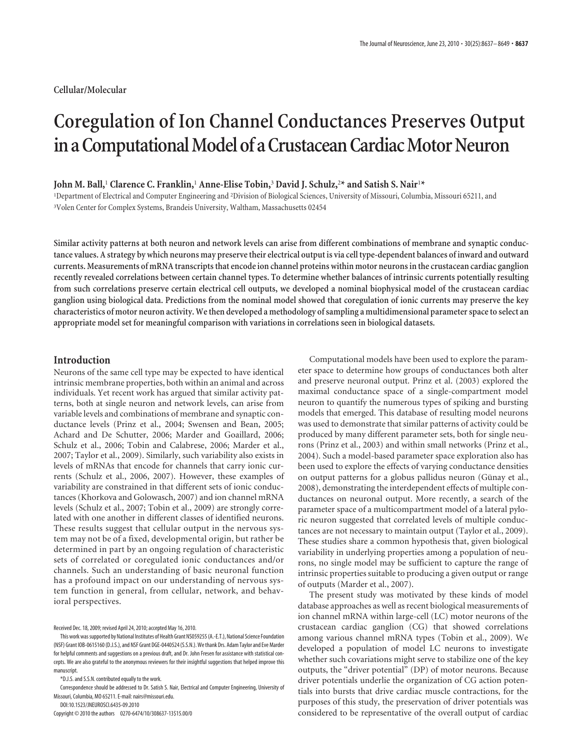# **Coregulation of Ion Channel Conductances Preserves Output in a Computational Model of a Crustacean Cardiac Motor Neuron**

# **John M. Ball,**<sup>1</sup> **Clarence C. Franklin,**<sup>1</sup> **Anne-Elise Tobin,**<sup>3</sup> **David J. Schulz,**2**\* and Satish S. Nair**1**\***

<sup>1</sup>Department of Electrical and Computer Engineering and <sup>2</sup>Division of Biological Sciences, University of Missouri, Columbia, Missouri 65211, and <sup>3</sup>Volen Center for Complex Systems, Brandeis University, Waltham, Massachusetts 02454

**Similar activity patterns at both neuron and network levels can arise from different combinations of membrane and synaptic conductance values. A strategy by which neurons may preserve their electrical output is via cell type-dependent balances of inward and outward currents. Measurements of mRNA transcripts that encode ion channel proteins within motor neurons in the crustacean cardiac ganglion recently revealed correlations between certain channel types. To determine whether balances of intrinsic currents potentially resulting from such correlations preserve certain electrical cell outputs, we developed a nominal biophysical model of the crustacean cardiac ganglion using biological data. Predictions from the nominal model showed that coregulation of ionic currents may preserve the key characteristics of motor neuron activity. We then developed a methodology of sampling a multidimensional parameter space to select an appropriate model set for meaningful comparison with variations in correlations seen in biological datasets.**

# **Introduction**

Neurons of the same cell type may be expected to have identical intrinsic membrane properties, both within an animal and across individuals. Yet recent work has argued that similar activity patterns, both at single neuron and network levels, can arise from variable levels and combinations of membrane and synaptic conductance levels (Prinz et al., 2004; Swensen and Bean, 2005; Achard and De Schutter, 2006; Marder and Goaillard, 2006; Schulz et al., 2006; Tobin and Calabrese, 2006; Marder et al., 2007; Taylor et al., 2009). Similarly, such variability also exists in levels of mRNAs that encode for channels that carry ionic currents (Schulz et al., 2006, 2007). However, these examples of variability are constrained in that different sets of ionic conductances (Khorkova and Golowasch, 2007) and ion channel mRNA levels (Schulz et al., 2007; Tobin et al., 2009) are strongly correlated with one another in different classes of identified neurons. These results suggest that cellular output in the nervous system may not be of a fixed, developmental origin, but rather be determined in part by an ongoing regulation of characteristic sets of correlated or coregulated ionic conductances and/or channels. Such an understanding of basic neuronal function has a profound impact on our understanding of nervous system function in general, from cellular, network, and behavioral perspectives.

DOI:10.1523/JNEUROSCI.6435-09.2010

Computational models have been used to explore the parameter space to determine how groups of conductances both alter and preserve neuronal output. Prinz et al. (2003) explored the maximal conductance space of a single-compartment model neuron to quantify the numerous types of spiking and bursting models that emerged. This database of resulting model neurons was used to demonstrate that similar patterns of activity could be produced by many different parameter sets, both for single neurons (Prinz et al., 2003) and within small networks (Prinz et al., 2004). Such a model-based parameter space exploration also has been used to explore the effects of varying conductance densities on output patterns for a globus pallidus neuron (Günay et al., 2008), demonstrating the interdependent effects of multiple conductances on neuronal output. More recently, a search of the parameter space of a multicompartment model of a lateral pyloric neuron suggested that correlated levels of multiple conductances are not necessary to maintain output (Taylor et al., 2009). These studies share a common hypothesis that, given biological variability in underlying properties among a population of neurons, no single model may be sufficient to capture the range of intrinsic properties suitable to producing a given output or range of outputs (Marder et al., 2007).

The present study was motivated by these kinds of model database approaches as well as recent biological measurements of ion channel mRNA within large-cell (LC) motor neurons of the crustacean cardiac ganglion (CG) that showed correlations among various channel mRNA types (Tobin et al., 2009). We developed a population of model LC neurons to investigate whether such covariations might serve to stabilize one of the key outputs, the "driver potential" (DP) of motor neurons. Because driver potentials underlie the organization of CG action potentials into bursts that drive cardiac muscle contractions, for the purposes of this study, the preservation of driver potentials was considered to be representative of the overall output of cardiac

Received Dec. 18, 2009; revised April 24, 2010; accepted May 16, 2010.

This work was supported by National Institutes of Health Grant NS059255 (A.-E.T.), National Science Foundation (NSF) Grant IOB-0615160 (D.J.S.), and NSF Grant DGE-0440524 (S.S.N.). We thank Drs. Adam Taylor and Eve Marder for helpful comments and suggestions on a previous draft, and Dr. John Fresen for assistance with statistical concepts. We are also grateful to the anonymous reviewers for their insightful suggestions that helped improve this manuscript.

<sup>\*</sup>D.J.S. and S.S.N. contributed equally to the work.

Correspondence should be addressed to Dr. Satish S. Nair, Electrical and Computer Engineering, University of Missouri, Columbia, MO 65211. E-mail: nairs@missouri.edu.

Copyright © 2010 the authors 0270-6474/10/308637-13\$15.00/0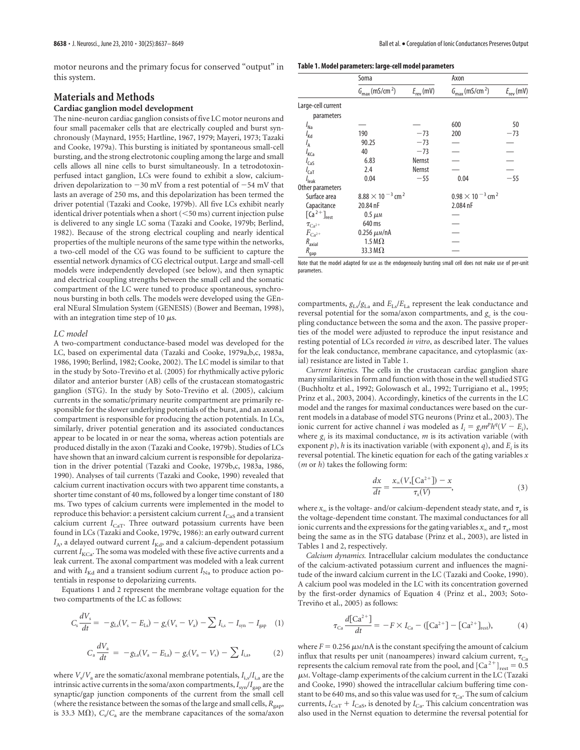motor neurons and the primary focus for conserved "output" in this system.

# **Materials and Methods**

# **Cardiac ganglion model development**

The nine-neuron cardiac ganglion consists of five LC motor neurons and four small pacemaker cells that are electrically coupled and burst synchronously (Maynard, 1955; Hartline, 1967, 1979; Mayeri, 1973; Tazaki and Cooke, 1979a). This bursting is initiated by spontaneous small-cell bursting, and the strong electrotonic coupling among the large and small cells allows all nine cells to burst simultaneously. In a tetrodotoxinperfused intact ganglion, LCs were found to exhibit a slow, calciumdriven depolarization to  $-30$  mV from a rest potential of  $-54$  mV that lasts an average of 250 ms, and this depolarization has been termed the driver potential (Tazaki and Cooke, 1979b). All five LCs exhibit nearly identical driver potentials when a short  $(<$  50 ms) current injection pulse is delivered to any single LC soma (Tazaki and Cooke, 1979b; Berlind, 1982). Because of the strong electrical coupling and nearly identical properties of the multiple neurons of the same type within the networks, a two-cell model of the CG was found to be sufficient to capture the essential network dynamics of CG electrical output. Large and small-cell models were independently developed (see below), and then synaptic and electrical coupling strengths between the small cell and the somatic compartment of the LC were tuned to produce spontaneous, synchronous bursting in both cells. The models were developed using the GEneral NEural SImulation System (GENESIS) (Bower and Beeman, 1998), with an integration time step of 10  $\mu$ s.

#### *LC model*

A two-compartment conductance-based model was developed for the LC, based on experimental data (Tazaki and Cooke, 1979a,b,c, 1983a, 1986, 1990; Berlind, 1982; Cooke, 2002). The LC model is similar to that in the study by Soto-Treviño et al. (2005) for rhythmically active pyloric dilator and anterior burster (AB) cells of the crustacean stomatogastric ganglion (STG). In the study by Soto-Treviño et al. (2005), calcium currents in the somatic/primary neurite compartment are primarily responsible for the slower underlying potentials of the burst, and an axonal compartment is responsible for producing the action potentials. In LCs, similarly, driver potential generation and its associated conductances appear to be located in or near the soma, whereas action potentials are produced distally in the axon (Tazaki and Cooke, 1979b). Studies of LCs have shown that an inward calcium current is responsible for depolarization in the driver potential (Tazaki and Cooke, 1979b,c, 1983a, 1986, 1990). Analyses of tail currents (Tazaki and Cooke, 1990) revealed that calcium current inactivation occurs with two apparent time constants, a shorter time constant of 40 ms, followed by a longer time constant of 180 ms. Two types of calcium currents were implemented in the model to reproduce this behavior: a persistent calcium current  $I_{\text{CaS}}$  and a transient calcium current  $I_{\text{CaT}}$ . Three outward potassium currents have been found in LCs (Tazaki and Cooke, 1979c, 1986): an early outward current  $I_{\rm A}$ , a delayed outward current  $I_{\rm Kd}$ , and a calcium-dependent potassium current  $I_{\text{KCa}}$ . The soma was modeled with these five active currents and a leak current. The axonal compartment was modeled with a leak current and with  $I_{\text{Kd}}$  and a transient sodium current  $I_{\text{Na}}$  to produce action potentials in response to depolarizing currents.

Equations 1 and 2 represent the membrane voltage equation for the two compartments of the LC as follows:

$$
C_s \frac{dV_s}{dt} = -g_{\text{Ls}}(V_s - E_{\text{Ls}}) - g_c(V_s - V_a) - \sum I_{\text{i,s}} - I_{\text{syn}} - I_{\text{gap}} \quad (1)
$$

$$
C_a \frac{dV_a}{dt} = -g_{La}(V_a - E_{La}) - g_c(V_a - V_s) - \sum I_{i,a}, \qquad (2)
$$

where  $V_{\rm s}/V_{\rm a}$  are the somatic/axonal membrane potentials,  $I_{\rm i,s}/I_{\rm i,a}$  are the intrinsic active currents in the soma/axon compartments,*I*syn/*I*gap are the synaptic/gap junction components of the current from the small cell (where the resistance between the somas of the large and small cells,  $R_{\text{gap}}$ , is 33.3 M $\Omega$ ),  $C_s/C_a$  are the membrane capacitances of the soma/axon

**Table 1. Model parameters: large-cell model parameters**

|                                        | Soma                                   |                       | Axon                                   |                       |
|----------------------------------------|----------------------------------------|-----------------------|----------------------------------------|-----------------------|
|                                        | $G_{\text{max}}$ (mS/cm <sup>2</sup> ) | $E_{\text{rev}}$ (mV) | $G_{\text{max}}$ (mS/cm <sup>2</sup> ) | $E_{\text{rev}}$ (mV) |
| Large-cell current                     |                                        |                       |                                        |                       |
| parameters                             |                                        |                       |                                        |                       |
| $I_{\text{Na}}$                        |                                        |                       | 600                                    | 50                    |
| $I_{\text{Kd}}$                        | 190                                    | $-73$                 | 200                                    | $-73$                 |
| $I_{\sf A}$                            | 90.25                                  | $-73$                 |                                        |                       |
| $I_{\text{KCa}}$                       | 40                                     | $-73$                 |                                        |                       |
| $I_{\text{CaS}}$                       | 6.83                                   | <b>Nernst</b>         |                                        |                       |
| $I_{\text{CaT}}$                       | 2.4                                    | <b>Nernst</b>         |                                        |                       |
| $I_{\text{leak}}$                      | 0.04                                   | $-55$                 | 0.04                                   | $-55$                 |
| Other parameters                       |                                        |                       |                                        |                       |
| Surface area                           | $8.88 \times 10^{-3}$ cm <sup>2</sup>  |                       | $0.98 \times 10^{-3}$ cm <sup>2</sup>  |                       |
| Capacitance                            | 20.84 nF                               |                       | 2.084 nF                               |                       |
| $\left[\frac{C}{a}^{2+}\right]_{rest}$ | $0.5 \mu$ M                            |                       |                                        |                       |
| $\tau_{Ca^{2+}}$                       | 640 ms                                 |                       |                                        |                       |
| $F_{Ca^{2+}}$                          | $0.256 \mu m/nA$                       |                       |                                        |                       |
| $R_{\rm axial}$                        | 1.5 M $\Omega$                         |                       |                                        |                       |
| $R_{\rm gap}$                          | 33.3 M $\Omega$                        |                       |                                        |                       |

Note that the model adapted for use as the endogenously bursting small cell does not make use of per-unit parameters.

compartments,  $g_{\text{Ls}}/g_{\text{La}}$  and  $E_{\text{Ls}}/E_{\text{La}}$  represent the leak conductance and reversal potential for the soma/axon compartments, and  $g_c$  is the coupling conductance between the soma and the axon. The passive properties of the model were adjusted to reproduce the input resistance and resting potential of LCs recorded *in vitro*, as described later. The values for the leak conductance, membrane capacitance, and cytoplasmic (axial) resistance are listed in Table 1.

*Current kinetics.* The cells in the crustacean cardiac ganglion share many similarities in form and function with those in the well studied STG (Buchholtz et al., 1992; Golowasch et al., 1992; Turrigiano et al., 1995; Prinz et al., 2003, 2004). Accordingly, kinetics of the currents in the LC model and the ranges for maximal conductances were based on the current models in a database of model STG neurons (Prinz et al., 2003). The ionic current for active channel *i* was modeled as  $I_i = g_i m^p h^q (V - E_i)$ , where  $g_i$  is its maximal conductance,  $m$  is its activation variable (with exponent  $p$ ),  $h$  is its inactivation variable (with exponent  $q$ ), and  $E_i$  is its reversal potential. The kinetic equation for each of the gating variables *x* (*m* or *h*) takes the following form:

$$
\frac{dx}{dt} = \frac{x_x(V, [Ca^{2+}]) - x}{\tau_x(V)},\tag{3}
$$

where  $x_\infty$  is the voltage- and/or calcium-dependent steady state, and  $\tau_x$  is the voltage-dependent time constant. The maximal conductances for all ionic currents and the expressions for the gating variables  $x_\infty$  and  $\tau_x$ , most being the same as in the STG database (Prinz et al., 2003), are listed in Tables 1 and 2, respectively.

*Calcium dynamics.* Intracellular calcium modulates the conductance of the calcium-activated potassium current and influences the magnitude of the inward calcium current in the LC (Tazaki and Cooke, 1990). A calcium pool was modeled in the LC with its concentration governed by the first-order dynamics of Equation 4 (Prinz et al., 2003; Soto-Treviño et al., 2005) as follows:

$$
\tau_{Ca} \frac{d[Ca^{2+}]}{dt} = -F \times I_{Ca} - ([Ca^{2+}] - [Ca^{2+}]_{rest}), \tag{4}
$$

where  $F = 0.256 \mu\text{m/nA}$  is the constant specifying the amount of calcium influx that results per unit (nanoamperes) inward calcium current,  $\tau_{Ca}$ represents the calcium removal rate from the pool, and  $\left[Ca^{2+}\right]_{\text{rest}} = 0.5$  $\mu$ M. Voltage-clamp experiments of the calcium current in the LC (Tazaki and Cooke, 1990) showed the intracellular calcium buffering time constant to be 640 ms, and so this value was used for  $\tau_{Ca}$ . The sum of calcium currents,  $I_{\text{CaT}} + I_{\text{CaS}}$ , is denoted by  $I_{\text{Ca}}$ . This calcium concentration was also used in the Nernst equation to determine the reversal potential for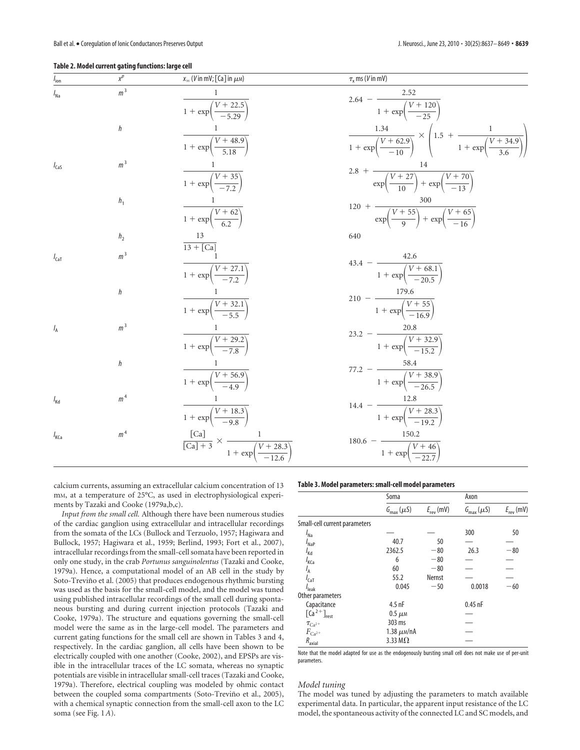#### **Table 2. Model current gating functions: large cell**

| $I_{\text{ion}}$ | $x^p$          | $x_{\infty}$ (V in mV; [Ca] in $\mu$ M)                                                                      | $\tau_{\rm x}$ ms (V in mV)                                                                                                            |
|------------------|----------------|--------------------------------------------------------------------------------------------------------------|----------------------------------------------------------------------------------------------------------------------------------------|
| $I_{\text{Na}}$  | m <sup>3</sup> | $1 + \exp\left(\frac{V + 22.5}{-5.29}\right)$                                                                | $2.64 - \frac{2.52}{1 + \exp\left(\frac{V + 120}{-25}\right)}$                                                                         |
|                  | h              | $\frac{1 + \exp\left(\frac{V + 48.9}{5.18}\right)}$                                                          | $\frac{1.34}{1 + \exp\left(\frac{V + 62.9}{-10}\right)} \times \left(1.5 + \frac{1}{1 + \exp\left(\frac{V + 34.9}{3.6}\right)}\right)$ |
| $I_{\text{Cas}}$ | m <sup>3</sup> | $\frac{1 + \exp\left(\frac{V + 35}{72}\right)}{1 + \exp\left(\frac{V + 35}{72}\right)}$                      | 2.8 + $\frac{1}{\exp\left(\frac{V+27}{10}\right) + \exp\left(\frac{V+70}{-13}\right)}$                                                 |
|                  | h <sub>1</sub> | $\frac{1 + \exp\left(\frac{V + 62}{62}\right)}{1 + \exp\left(\frac{V + 62}{62}\right)}$                      | 120 + $\frac{V + 55}{\exp(\frac{V + 55}{9}) + \exp(\frac{V + 65}{-16})}$                                                               |
|                  | h <sub>2</sub> |                                                                                                              | 640                                                                                                                                    |
| $I_{\text{CaT}}$ | m <sup>3</sup> | $13 + [Ca]$<br>$\frac{1 + \exp\left(\frac{V + 27.1}{7.2}\right)}{1 + \exp\left(\frac{V + 27.1}{7.2}\right)}$ | $43.4 - \frac{42.6}{1 + \exp\left(\frac{V + 68.1}{-20.5}\right)}$                                                                      |
|                  | h              | $\frac{1 + \exp\left(\frac{V + 32.1}{5.5}\right)}{1 + \exp\left(\frac{V + 32.1}{5.5}\right)}$                | $210 - \frac{175.6}{1 + \exp\left(\frac{V + 55}{-16.9}\right)}$                                                                        |
| $I_{\rm A}$      | m <sup>3</sup> | $\frac{1 + \exp\left(\frac{V + 29.2}{7.8}\right)}{1 + \exp\left(\frac{V + 29.2}{7.8}\right)}$                | $23.2 - \frac{20.0}{1 + \exp\left(\frac{V + 32.9}{-15.2}\right)}$                                                                      |
|                  | h              | $\frac{1 + \exp\left(\frac{V + 56.9}{-4.9}\right)}{1 + \exp\left(\frac{V + 56.9}{-4.9}\right)}$              | 77.2 - $\frac{36.7}{1 + \exp\left(\frac{V + 38.9}{-26.5}\right)}$                                                                      |
| $I_{\text{Kd}}$  | m <sup>4</sup> | $\frac{1 + \exp\left(\frac{V + 18.3}{0.8}\right)}{1 + \exp\left(\frac{V + 18.3}{0.8}\right)}$                | $14.4 - \frac{12.6}{1 + \exp\left(\frac{V + 28.3}{-19.2}\right)}$                                                                      |
| $I_{\text{KCa}}$ | m <sup>4</sup> | $\frac{[Ca]}{[Ca]+3} \times \frac{1}{1 + \exp\left(\frac{V + 28.3}{-12.6}\right)}$                           | $180.6 - \frac{150.2}{1 + \exp\left(\frac{V + 46}{-22.7}\right)}$                                                                      |

calcium currents, assuming an extracellular calcium concentration of 13 mM, at a temperature of 25°C, as used in electrophysiological experiments by Tazaki and Cooke (1979a,b,c).

*Input from the small cell.* Although there have been numerous studies of the cardiac ganglion using extracellular and intracellular recordings from the somata of the LCs (Bullock and Terzuolo, 1957; Hagiwara and Bullock, 1957; Hagiwara et al., 1959; Berlind, 1993; Fort et al., 2007), intracellular recordings from the small-cell somata have been reported in only one study, in the crab *Portunus sanguinolentus* (Tazaki and Cooke, 1979a). Hence, a computational model of an AB cell in the study by Soto-Treviño et al. (2005) that produces endogenous rhythmic bursting was used as the basis for the small-cell model, and the model was tuned using published intracellular recordings of the small cell during spontaneous bursting and during current injection protocols (Tazaki and Cooke, 1979a). The structure and equations governing the small-cell model were the same as in the large-cell model. The parameters and current gating functions for the small cell are shown in Tables 3 and 4, respectively. In the cardiac ganglion, all cells have been shown to be electrically coupled with one another (Cooke, 2002), and EPSPs are visible in the intracellular traces of the LC somata, whereas no synaptic potentials are visible in intracellular small-cell traces (Tazaki and Cooke, 1979a). Therefore, electrical coupling was modeled by ohmic contact between the coupled soma compartments (Soto-Treviño et al., 2005), with a chemical synaptic connection from the small-cell axon to the LC soma (see Fig. 1*A*).

#### **Table 3. Model parameters: small-cell model parameters**

|                                             | Soma                    |                       | Axon                    |                       |
|---------------------------------------------|-------------------------|-----------------------|-------------------------|-----------------------|
|                                             | $G_{\text{max}}(\mu S)$ | $E_{\text{rev}}$ (mV) | $G_{\text{max}}(\mu S)$ | $E_{\text{rev}}$ (mV) |
| Small-cell current parameters               |                         |                       |                         |                       |
| $I_{\text{Na}}$                             |                         |                       | 300                     | 50                    |
| $I_{\text{NaP}}$                            | 40.7                    | 50                    |                         |                       |
| $I_{\text{Kd}}$                             | 2362.5                  | $-80$                 | 26.3                    | $-80$                 |
| / <sub>KCa</sub>                            | 6                       | $-80$                 |                         |                       |
| $I_A$                                       | 60                      | $-80$                 |                         |                       |
| $I_{\text{CaT}}$                            | 55.2                    | Nernst                |                         |                       |
| $I_{\text{leak}}$                           | 0.045                   | $-50$                 | 0.0018                  | $-60$                 |
| Other parameters                            |                         |                       |                         |                       |
| Capacitance                                 | $4.5$ nF                |                       | $0.45$ nF               |                       |
| $\left[\text{Ca}^{2+}\right]_{\text{rest}}$ | $0.5 \mu$ M             |                       |                         |                       |
| $\tau_{Ca^{2+}}$                            | 303 ms                  |                       |                         |                       |
| $F_{\rm Ca^{2+}}$                           | 1.38 $\mu$ м/пА         |                       |                         |                       |
| $R_{\rm axial}$                             | 3.33 M $\Omega$         |                       |                         |                       |

Note that the model adapted for use as the endogenously bursting small cell does not make use of per-unit parameters.

#### *Model tuning*

The model was tuned by adjusting the parameters to match available experimental data. In particular, the apparent input resistance of the LC model, the spontaneous activity of the connected LC and SC models, and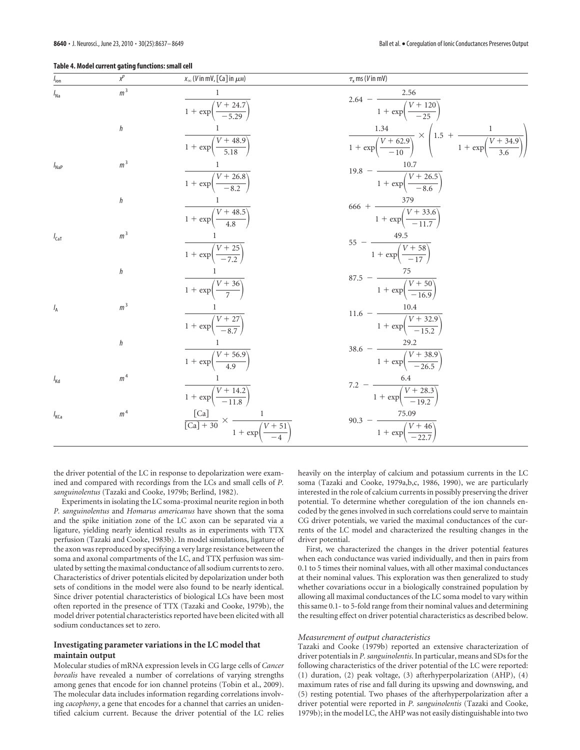|  |  |  |  |  | Table 4. Model current gating functions: small cell |  |
|--|--|--|--|--|-----------------------------------------------------|--|
|--|--|--|--|--|-----------------------------------------------------|--|

| $I_{\text{ion}}$ | $x^p$          | $x_{\infty}$ (V in mV, [Ca] in $\mu$ M)                                                           | $\tau_{\rm x}$ ms (V in mV)                                                                                                    |
|------------------|----------------|---------------------------------------------------------------------------------------------------|--------------------------------------------------------------------------------------------------------------------------------|
| $I_{\text{Na}}$  | m <sup>3</sup> | $1 + \exp\left(\frac{V + 24.7}{5.29}\right)$                                                      | 2.64 - $\frac{2.36}{1 + \exp\left(\frac{V + 120}{-25}\right)}$                                                                 |
|                  | h              | $1 + \exp\left(\frac{V + 48.9}{5.18}\right)$                                                      | $\frac{1.34}{1+\exp\left(\frac{V+62.9}{-10}\right)} \times \left(1.5 + \frac{1}{1+\exp\left(\frac{V+34.9}{3.6}\right)}\right)$ |
| $I_{\text{NaP}}$ | m <sup>3</sup> | $\frac{1 + \exp\left(\frac{V + 26.8}{0.87}\right)}{1 + \exp\left(\frac{V + 26.8}{0.87}\right)}$   | 19.8 - $\frac{160V}{1 + \exp\left(\frac{V + 26.5}{-8.6}\right)}$                                                               |
|                  | h              | $\frac{1 + \exp\left(\frac{V + 48.5}{4.8}\right)}{1 + \exp\left(\frac{V + 48.5}{4.8}\right)}$     | $666 + \frac{379}{1 + \exp\left(\frac{V + 33.6}{-11.7}\right)}$                                                                |
| $I_{\text{CaT}}$ | m <sup>3</sup> | $\frac{1 + \exp\left(\frac{V + 25}{-7.2}\right)}{1 + \exp\left(\frac{V + 25}{-7.2}\right)}$       | $55 - \frac{1}{1 + \exp\left(\frac{V + 58}{-17}\right)}$                                                                       |
|                  | h              | $\frac{1 + \exp\left(\frac{V + 36}{7}\right)}{1 + \exp\left(\frac{V + 36}{7}\right)}$             | $87.5 - \frac{75}{1 + \exp\left(\frac{V + 50}{-16.9}\right)}$                                                                  |
| $I_A$            | m <sup>3</sup> | $\frac{1}{1+\exp\left(\frac{V+27}{-8.7}\right)}$                                                  | $\frac{11.6 - \frac{10.4}{1 + \exp\left(\frac{V + 32.9}{-15.2}\right)}}{1 + \exp\left(\frac{V + 32.9}{-15.2}\right)}$          |
|                  | h              | $\frac{1}{1+\exp\left(\frac{V+56.9}{4.9}\right)}$                                                 | $38.6 - \frac{27.2}{1 + \exp\left(\frac{V + 38.9}{-26.5}\right)}$                                                              |
| $I_{\text{Kd}}$  | m <sup>4</sup> | $\frac{1 + \exp\left(\frac{V + 14.2}{-11.8}\right)}{1 + \exp\left(\frac{V + 14.2}{-11.8}\right)}$ | 7.2 - $\frac{0.4}{1 + \exp\left(\frac{V + 28.3}{-19.2}\right)}$                                                                |
| $I_{\text{KCa}}$ | m <sup>4</sup> | $\frac{\text{[Ca]}}{\text{[Ca]} + 30} \times \frac{1}{1 + \exp\left(\frac{V + 51}{-4}\right)}$    | 90.3 - $\frac{1 + \exp\left(\frac{V + 46}{22.7}\right)}{1 + \exp\left(\frac{V + 46}{22.7}\right)}$                             |

the driver potential of the LC in response to depolarization were examined and compared with recordings from the LCs and small cells of *P. sanguinolentus* (Tazaki and Cooke, 1979b; Berlind, 1982).

Experiments in isolating the LC soma-proximal neurite region in both *P. sanguinolentus* and *Homarus americanus* have shown that the soma and the spike initiation zone of the LC axon can be separated via a ligature, yielding nearly identical results as in experiments with TTX perfusion (Tazaki and Cooke, 1983b). In model simulations, ligature of the axon was reproduced by specifying a very large resistance between the soma and axonal compartments of the LC, and TTX perfusion was simulated by setting the maximal conductance of all sodium currents to zero. Characteristics of driver potentials elicited by depolarization under both sets of conditions in the model were also found to be nearly identical. Since driver potential characteristics of biological LCs have been most often reported in the presence of TTX (Tazaki and Cooke, 1979b), the model driver potential characteristics reported have been elicited with all sodium conductances set to zero.

# **Investigating parameter variations in the LC model that maintain output**

Molecular studies of mRNA expression levels in CG large cells of *Cancer borealis* have revealed a number of correlations of varying strengths among genes that encode for ion channel proteins (Tobin et al., 2009). The molecular data includes information regarding correlations involving *cacophony*, a gene that encodes for a channel that carries an unidentified calcium current. Because the driver potential of the LC relies

heavily on the interplay of calcium and potassium currents in the LC soma (Tazaki and Cooke, 1979a,b,c, 1986, 1990), we are particularly interested in the role of calcium currents in possibly preserving the driver potential. To determine whether coregulation of the ion channels encoded by the genes involved in such correlations could serve to maintain CG driver potentials, we varied the maximal conductances of the currents of the LC model and characterized the resulting changes in the driver potential.

First, we characterized the changes in the driver potential features when each conductance was varied individually, and then in pairs from 0.1 to 5 times their nominal values, with all other maximal conductances at their nominal values. This exploration was then generalized to study whether covariations occur in a biologically constrained population by allowing all maximal conductances of the LC soma model to vary within this same 0.1- to 5-fold range from their nominal values and determining the resulting effect on driver potential characteristics as described below.

## *Measurement of output characteristics*

Tazaki and Cooke (1979b) reported an extensive characterization of driver potentials in *P. sanguinolentis*. In particular, means and SDs for the following characteristics of the driver potential of the LC were reported: (1) duration, (2) peak voltage, (3) afterhyperpolarization (AHP), (4) maximum rates of rise and fall during its upswing and downswing, and (5) resting potential. Two phases of the afterhyperpolarization after a driver potential were reported in *P. sanguinolentis* (Tazaki and Cooke, 1979b); in the model LC, the AHP was not easily distinguishable into two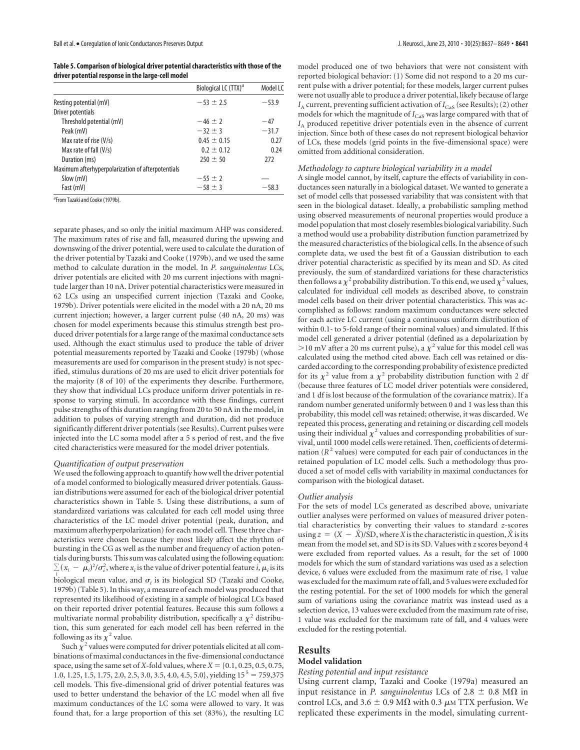**Table 5. Comparison of biological driver potential characteristics with those of the driver potential response in the large-cell model**

|                                                   | Biological LC $(TTX)^d$ | Model LC |
|---------------------------------------------------|-------------------------|----------|
| Resting potential (mV)                            | $-53 \pm 2.5$           | $-53.9$  |
| Driver potentials                                 |                         |          |
| Threshold potential (mV)                          | $-46+7$                 | $-47$    |
| Peak (mV)                                         | $-32 + 3$               | $-31.7$  |
| Max rate of rise (V/s)                            | $0.45 \pm 0.15$         | 0.27     |
| Max rate of fall (V/s)                            | $0.2 \pm 0.12$          | 0.24     |
| Duration (ms)                                     | $250 \pm 50$            | 272      |
| Maximum afterhyperpolarization of afterpotentials |                         |          |
| Slow (mV)                                         | $-55 \pm 2$             |          |
| Fast (mV)                                         | $-58 \pm 3$             | $-58.3$  |

<sup>a</sup>From Tazaki and Cooke (1979b).

separate phases, and so only the initial maximum AHP was considered. The maximum rates of rise and fall, measured during the upswing and downswing of the driver potential, were used to calculate the duration of the driver potential by Tazaki and Cooke (1979b), and we used the same method to calculate duration in the model. In *P. sanguinolentus* LCs, driver potentials are elicited with 20 ms current injections with magnitude larger than 10 nA. Driver potential characteristics were measured in 62 LCs using an unspecified current injection (Tazaki and Cooke, 1979b). Driver potentials were elicited in the model with a 20 nA, 20 ms current injection; however, a larger current pulse (40 nA, 20 ms) was chosen for model experiments because this stimulus strength best produced driver potentials for a large range of the maximal conductance sets used. Although the exact stimulus used to produce the table of driver potential measurements reported by Tazaki and Cooke (1979b) (whose measurements are used for comparison in the present study) is not specified, stimulus durations of 20 ms are used to elicit driver potentials for the majority (8 of 10) of the experiments they describe. Furthermore, they show that individual LCs produce uniform driver potentials in response to varying stimuli. In accordance with these findings, current pulse strengths of this duration ranging from 20 to 50 nA in the model, in addition to pulses of varying strength and duration, did not produce significantly different driver potentials (see Results). Current pulses were injected into the LC soma model after a 5 s period of rest, and the five cited characteristics were measured for the model driver potentials.

#### *Quantification of output preservation*

We used the following approach to quantify how well the driver potential of a model conformed to biologically measured driver potentials. Gaussian distributions were assumed for each of the biological driver potential characteristics shown in Table 5. Using these distributions, a sum of standardized variations was calculated for each cell model using three characteristics of the LC model driver potential (peak, duration, and maximum afterhyperpolarization) for each model cell. These three characteristics were chosen because they most likely affect the rhythm of bursting in the CG as well as the number and frequency of action potentials during bursts. This sum was calculated using the following equation:  $\sum_i (x_i - \mu_i)^2 / \sigma_i^2$ , where  $x_i$  is the value of driver potential feature  $i, \mu_i$  is its *i*</sup>
biological mean value, and  $\sigma_i$  is its biological SD (Tazaki and Cooke, 1979b) (Table 5). In this way, a measure of each model was produced that represented its likelihood of existing in a sample of biological LCs based on their reported driver potential features. Because this sum follows a multivariate normal probability distribution, specifically a  $\chi^2$  distribution, this sum generated for each model cell has been referred in the following as its  $\chi^2$  value.

Such  $\chi^2$  values were computed for driver potentials elicited at all combinations of maximal conductances in the five-dimensional conductance space, using the same set of *X*-fold values, where  $X = \{0.1, 0.25, 0.5, 0.75,$ 1.0, 1.25, 1.5, 1.75, 2.0, 2.5, 3.0, 3.5, 4.0, 4.5, 5.0}, yielding  $15^5 = 759,375$ cell models. This five-dimensional grid of driver potential features was used to better understand the behavior of the LC model when all five maximum conductances of the LC soma were allowed to vary. It was found that, for a large proportion of this set (83%), the resulting LC model produced one of two behaviors that were not consistent with reported biological behavior: (1) Some did not respond to a 20 ms current pulse with a driver potential; for these models, larger current pulses were not usually able to produce a driver potential, likely because of large  $I_{\rm A}$  current, preventing sufficient activation of  $I_{\rm Cas}$  (see Results); (2) other models for which the magnitude of *I*<sub>CaS</sub> was large compared with that of *I*<sup>A</sup> produced repetitive driver potentials even in the absence of current injection. Since both of these cases do not represent biological behavior of LCs, these models (grid points in the five-dimensional space) were omitted from additional consideration.

## *Methodology to capture biological variability in a model*

A single model cannot, by itself, capture the effects of variability in conductances seen naturally in a biological dataset. We wanted to generate a set of model cells that possessed variability that was consistent with that seen in the biological dataset. Ideally, a probabilistic sampling method using observed measurements of neuronal properties would produce a model population that most closely resembles biological variability. Such a method would use a probability distribution function parametrized by the measured characteristics of the biological cells. In the absence of such complete data, we used the best fit of a Gaussian distribution to each driver potential characteristic as specified by its mean and SD. As cited previously, the sum of standardized variations for these characteristics then follows a  $\chi^2$  probability distribution. To this end, we used  $\chi^2$  values, calculated for individual cell models as described above, to constrain model cells based on their driver potential characteristics. This was accomplished as follows: random maximum conductances were selected for each active LC current (using a continuous uniform distribution of within 0.1- to 5-fold range of their nominal values) and simulated. If this model cell generated a driver potential (defined as a depolarization by >10 mV after a 20 ms current pulse), a  $\chi^2$  value for this model cell was calculated using the method cited above. Each cell was retained or discarded according to the corresponding probability of existence predicted for its  $\chi^2$  value from a  $\chi^2$  probability distribution function with 2 df (because three features of LC model driver potentials were considered, and 1 df is lost because of the formulation of the covariance matrix). If a random number generated uniformly between 0 and 1 was less than this probability, this model cell was retained; otherwise, it was discarded. We repeated this process, generating and retaining or discarding cell models using their individual  $\chi^2$  values and corresponding probabilities of survival, until 1000 model cells were retained. Then, coefficients of determination ( $R<sup>2</sup>$  values) were computed for each pair of conductances in the retained population of LC model cells. Such a methodology thus produced a set of model cells with variability in maximal conductances for comparison with the biological dataset.

#### *Outlier analysis*

For the sets of model LCs generated as described above, univariate outlier analyses were performed on values of measured driver potential characteristics by converting their values to standard *z*-scores using  $z = (X - \hat{X})/SD$ , where *X* is the characteristic in question,  $\hat{X}$  is its mean from the model set, and SD is its SD. Values with *z* scores beyond 4 were excluded from reported values. As a result, for the set of 1000 models for which the sum of standard variations was used as a selection device, 6 values were excluded from the maximum rate of rise, 1 value was excluded for the maximum rate of fall, and 5 values were excluded for the resting potential. For the set of 1000 models for which the general sum of variations using the covariance matrix was instead used as a selection device, 13 values were excluded from the maximum rate of rise, 1 value was excluded for the maximum rate of fall, and 4 values were excluded for the resting potential.

# **Results**

#### **Model validation**

## *Resting potential and input resistance*

Using current clamp, Tazaki and Cooke (1979a) measured an input resistance in *P. sanguinolentus* LCs of 2.8  $\pm$  0.8 M $\Omega$  in control LCs, and 3.6  $\pm$  0.9 M $\Omega$  with 0.3  $\mu$ M TTX perfusion. We replicated these experiments in the model, simulating current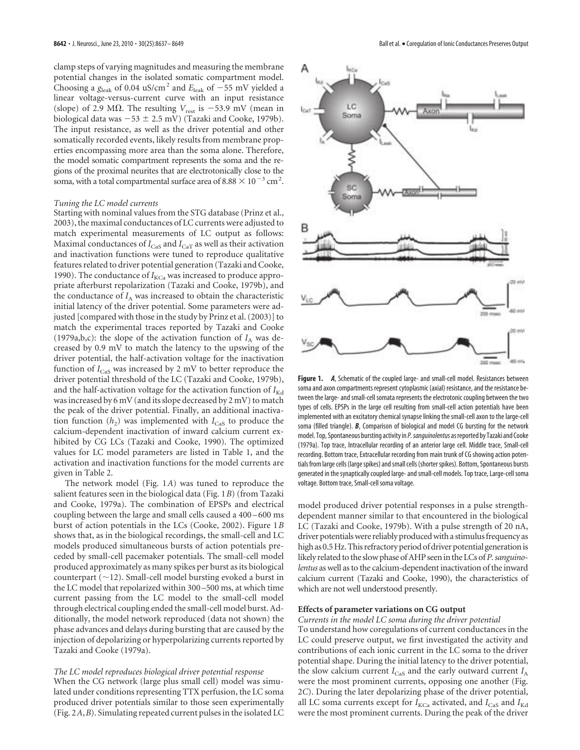clamp steps of varying magnitudes and measuring the membrane potential changes in the isolated somatic compartment model. Choosing a  $g_{\text{leak}}$  of 0.04 uS/cm<sup>2</sup> and  $E_{\text{leak}}$  of  $-55$  mV yielded a linear voltage-versus-current curve with an input resistance (slope) of 2.9 M $\Omega$ . The resulting  $V_{\text{rest}}$  is -53.9 mV (mean in biological data was  $-53 \pm 2.5$  mV) (Tazaki and Cooke, 1979b). The input resistance, as well as the driver potential and other somatically recorded events, likely results from membrane properties encompassing more area than the soma alone. Therefore, the model somatic compartment represents the soma and the regions of the proximal neurites that are electrotonically close to the soma, with a total compartmental surface area of  $8.88 \times 10^{-3}$  cm<sup>2</sup>.

### *Tuning the LC model currents*

Starting with nominal values from the STG database (Prinz et al., 2003), the maximal conductances of LC currents were adjusted to match experimental measurements of LC output as follows: Maximal conductances of  $I_{\text{CaS}}$  and  $I_{\text{CaT}}$  as well as their activation and inactivation functions were tuned to reproduce qualitative features related to driver potential generation (Tazaki and Cooke, 1990). The conductance of  $I_{\text{KCa}}$  was increased to produce appropriate afterburst repolarization (Tazaki and Cooke, 1979b), and the conductance of  $I_A$  was increased to obtain the characteristic initial latency of the driver potential. Some parameters were adjusted [compared with those in the study by Prinz et al. (2003)] to match the experimental traces reported by Tazaki and Cooke (1979a,b,c): the slope of the activation function of  $I_A$  was decreased by 0.9 mV to match the latency to the upswing of the driver potential, the half-activation voltage for the inactivation function of  $I_{\text{Cas}}$  was increased by 2 mV to better reproduce the driver potential threshold of the LC (Tazaki and Cooke, 1979b), and the half-activation voltage for the activation function of  $I_{Kd}$ was increased by 6 mV (and its slope decreased by 2 mV) to match the peak of the driver potential. Finally, an additional inactivation function  $(h_2)$  was implemented with  $I_{\text{Cas}}$  to produce the calcium-dependent inactivation of inward calcium current exhibited by CG LCs (Tazaki and Cooke, 1990). The optimized values for LC model parameters are listed in Table 1, and the activation and inactivation functions for the model currents are given in Table 2.

The network model (Fig. 1*A*) was tuned to reproduce the salient features seen in the biological data (Fig. 1*B*) (from Tazaki and Cooke, 1979a). The combination of EPSPs and electrical coupling between the large and small cells caused a 400 – 600 ms burst of action potentials in the LCs (Cooke, 2002). Figure 1*B* shows that, as in the biological recordings, the small-cell and LC models produced simultaneous bursts of action potentials preceded by small-cell pacemaker potentials. The small-cell model produced approximately as many spikes per burst as its biological counterpart  $(\sim 12)$ . Small-cell model bursting evoked a burst in the LC model that repolarized within 300 –500 ms, at which time current passing from the LC model to the small-cell model through electrical coupling ended the small-cell model burst. Additionally, the model network reproduced (data not shown) the phase advances and delays during bursting that are caused by the injection of depolarizing or hyperpolarizing currents reported by Tazaki and Cooke (1979a).

## *The LC model reproduces biological driver potential response*

When the CG network (large plus small cell) model was simulated under conditions representing TTX perfusion, the LC soma produced driver potentials similar to those seen experimentally (Fig. 2*A*,*B*). Simulating repeated current pulses in the isolated LC



**Figure 1.** *A*, Schematic of the coupled large- and small-cell model. Resistances between soma and axon compartments represent cytoplasmic (axial) resistance, and the resistance between the large- and small-cell somata represents the electrotonic coupling between the two types of cells. EPSPs in the large cell resulting from small-cell action potentials have been implemented with an excitatory chemical synapse linking the small-cell axon to the large-cell soma (filled triangle). *B*, Comparison of biological and model CG bursting for the network model. Top, Spontaneous bursting activity in P. sanguinolentus as reported by Tazaki and Cooke (1979a). Top trace, Intracellular recording of an anterior large cell. Middle trace, Small-cell recording. Bottom trace, Extracellular recording from main trunk of CG showing action potentials from large cells (large spikes) and small cells (shorter spikes). Bottom, Spontaneous bursts generated in the synaptically coupled large- and small-cell models. Top trace, Large-cell soma voltage. Bottom trace, Small-cell soma voltage.

model produced driver potential responses in a pulse strengthdependent manner similar to that encountered in the biological LC (Tazaki and Cooke, 1979b). With a pulse strength of 20 nA, driver potentials were reliably produced with a stimulus frequency as high as 0.5 Hz. This refractory period of driver potential generation is likely related to the slow phase of AHP seen in the LCs of*P. sanguinolentus* as well as to the calcium-dependent inactivation of the inward calcium current (Tazaki and Cooke, 1990), the characteristics of which are not well understood presently.

## **Effects of parameter variations on CG output**

*Currents in the model LC soma during the driver potential* To understand how coregulations of current conductances in the LC could preserve output, we first investigated the activity and contributions of each ionic current in the LC soma to the driver potential shape. During the initial latency to the driver potential, the slow calcium current  $I_{\text{Cas}}$  and the early outward current  $I_A$ were the most prominent currents, opposing one another (Fig. 2*C*). During the later depolarizing phase of the driver potential, all LC soma currents except for  $I_{\text{KCa}}$  activated, and  $I_{\text{CaS}}$  and  $I_{\text{Kd}}$ were the most prominent currents. During the peak of the driver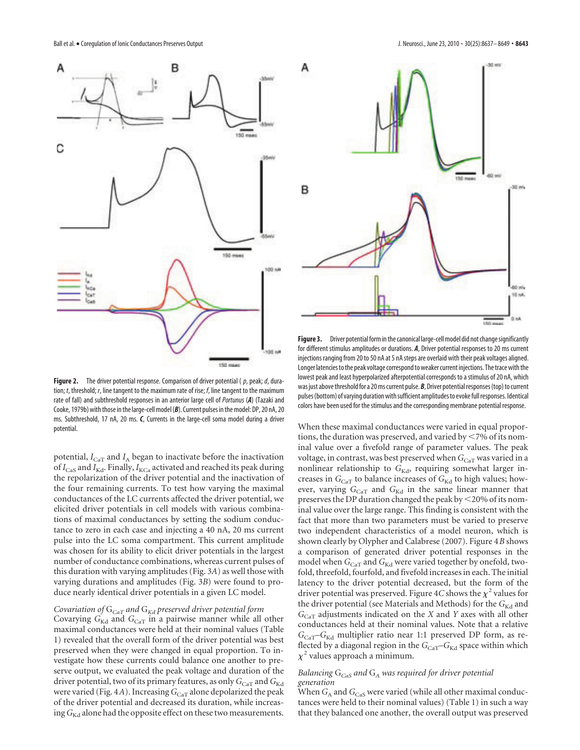

Figure 2. The driver potential response. Comparison of driver potential (p, peak; d, duration; t, threshold; r, line tangent to the maximum rate of rise;  $f$ , line tangent to the maximum rate of fall) and subthreshold responses in an anterior large cell of Portunus (*A*) (Tazaki and Cooke, 1979b) with those in the large-cell model (*B*). Current pulses in the model: DP, 20 nA, 20 ms. Subthreshold, 17 nA, 20 ms. *C*, Currents in the large-cell soma model during a driver potential.

potential,  $I_{\text{CaT}}$  and  $I_A$  began to inactivate before the inactivation of  $I_{\text{Cas}}$  and  $I_{\text{Kd}}$ . Finally,  $I_{\text{KCa}}$  activated and reached its peak during the repolarization of the driver potential and the inactivation of the four remaining currents. To test how varying the maximal conductances of the LC currents affected the driver potential, we elicited driver potentials in cell models with various combinations of maximal conductances by setting the sodium conductance to zero in each case and injecting a 40 nA, 20 ms current pulse into the LC soma compartment. This current amplitude was chosen for its ability to elicit driver potentials in the largest number of conductance combinations, whereas current pulses of this duration with varying amplitudes (Fig. 3*A*) as well those with varying durations and amplitudes (Fig. 3*B*) were found to produce nearly identical driver potentials in a given LC model.

# *Covariation of* G*CaT and* G*Kd preserved driver potential form*

Covarying  $G_{\text{Kd}}$  and  $G_{\text{CaT}}$  in a pairwise manner while all other maximal conductances were held at their nominal values (Table 1) revealed that the overall form of the driver potential was best preserved when they were changed in equal proportion. To investigate how these currents could balance one another to preserve output, we evaluated the peak voltage and duration of the driver potential, two of its primary features, as only  $G_{\text{CaT}}$  and  $G_{\text{Kd}}$ were varied (Fig. 4*A*). Increasing  $G_{\text{Car}}$  alone depolarized the peak of the driver potential and decreased its duration, while increasing  $G_{\text{Kd}}$  alone had the opposite effect on these two measurements.



**Figure 3.** Driver potential form in the canonical large-cell model did not change significantly for different stimulus amplitudes or durations. *A*, Driver potential responses to 20 ms current injections ranging from 20 to 50 nA at 5 nA steps are overlaid with their peak voltages aligned. Longer latencies to the peak voltage correspond to weaker current injections. The trace with the lowest peak and least hyperpolarized afterpotential corresponds to a stimulus of 20 nA, which was just above threshold for a 20 ms current pulse.*B*, Driver potential responses (top) to current pulses (bottom) of varying duration with sufficient amplitudes to evoke full responses. Identical colors have been used for the stimulus and the corresponding membrane potential response.

When these maximal conductances were varied in equal proportions, the duration was preserved, and varied by  $\leq$  7% of its nominal value over a fivefold range of parameter values. The peak voltage, in contrast, was best preserved when  $G_{\rm CaT}$  was varied in a nonlinear relationship to G<sub>Kd</sub>, requiring somewhat larger increases in  $G_{\rm CaT}$  to balance increases of  $G_{\rm Kd}$  to high values; however, varying  $G_{CaT}$  and  $G_{Kd}$  in the same linear manner that preserves the DP duration changed the peak by  $\leq$  20% of its nominal value over the large range. This finding is consistent with the fact that more than two parameters must be varied to preserve two independent characteristics of a model neuron, which is shown clearly by Olypher and Calabrese (2007). Figure 4*B* shows a comparison of generated driver potential responses in the model when  $G_{\text{CaT}}$  and  $G_{\text{Kd}}$  were varied together by onefold, twofold, threefold, fourfold, and fivefold increases in each. The initial latency to the driver potential decreased, but the form of the driver potential was preserved. Figure 4C shows the  $\chi^2$  values for the driver potential (see Materials and Methods) for the  $G_{\rm Kd}$  and *G*CaT adjustments indicated on the *X* and *Y* axes with all other conductances held at their nominal values. Note that a relative *G*CaT–*G*Kd multiplier ratio near 1:1 preserved DP form, as reflected by a diagonal region in the  $G_{\text{CaT}}-G_{\text{Kd}}$  space within which  $\chi^2$  values approach a minimum.

# *Balancing* G*CaS and* G*<sup>A</sup> was required for driver potential generation*

When  $G_\mathrm{A}$  and  $G_\mathrm{Cas}$  were varied (while all other maximal conductances were held to their nominal values) (Table 1) in such a way that they balanced one another, the overall output was preserved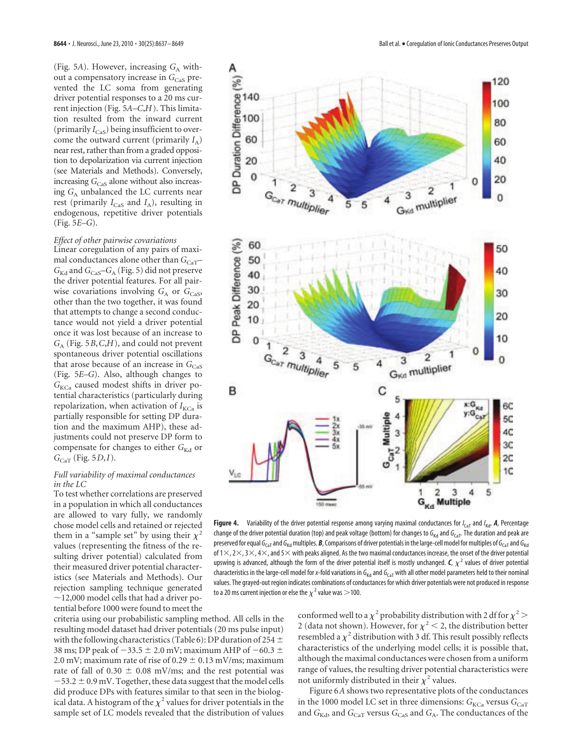(Fig. 5A). However, increasing  $G_A$  without a compensatory increase in G<sub>CaS</sub> prevented the LC soma from generating driver potential responses to a 20 ms current injection (Fig. 5*A–C*,*H*). This limitation resulted from the inward current (primarily  $I_{\text{Cas}}$ ) being insufficient to overcome the outward current (primarily  $I_A$ ) near rest, rather than from a graded opposition to depolarization via current injection (see Materials and Methods). Conversely, increasing *G*<sub>CaS</sub> alone without also increasing  $G_A$  unbalanced the LC currents near rest (primarily *I*<sub>CaS</sub> and *I*<sub>A</sub>), resulting in endogenous, repetitive driver potentials (Fig. 5*E–G*).

# *Effect of other pairwise covariations*

Linear coregulation of any pairs of maximal conductances alone other than  $G_{\text{CaT}}$ –  $G_{\text{Kd}}$  and  $G_{\text{Cas}}$ – $G_{\text{A}}$  (Fig. 5) did not preserve the driver potential features. For all pairwise covariations involving  $G_A$  or  $G_{Cas}$ , other than the two together, it was found that attempts to change a second conductance would not yield a driver potential once it was lost because of an increase to *G*<sup>A</sup> (Fig. 5*B*,*C*,*H*), and could not prevent spontaneous driver potential oscillations that arose because of an increase in  $G_{\text{Cas}}$ (Fig. 5*E–G*). Also, although changes to  $G_{\text{KCa}}$  caused modest shifts in driver potential characteristics (particularly during repolarization, when activation of  $I_{\text{KCa}}$  is partially responsible for setting DP duration and the maximum AHP), these adjustments could not preserve DP form to compensate for changes to either *G*<sub>Kd</sub> or *G*CaT (Fig. 5*D*,*I*).

## *Full variability of maximal conductances in the LC*

To test whether correlations are preserved in a population in which all conductances are allowed to vary fully, we randomly chose model cells and retained or rejected them in a "sample set" by using their  $\chi^2$ values (representing the fitness of the resulting driver potential) calculated from their measured driver potential characteristics (see Materials and Methods). Our rejection sampling technique generated  $\sim$ 12,000 model cells that had a driver potential before 1000 were found to meet the

criteria using our probabilistic sampling method. All cells in the resulting model dataset had driver potentials (20 ms pulse input) with the following characteristics (Table 6): DP duration of 254  $\pm$ 38 ms; DP peak of  $-33.5 \pm 2.0$  mV; maximum AHP of  $-60.3 \pm 0.5$ 2.0 mV; maximum rate of rise of 0.29  $\pm$  0.13 mV/ms; maximum rate of fall of 0.30  $\pm$  0.08 mV/ms; and the rest potential was  $-53.2 \pm 0.9$  mV. Together, these data suggest that the model cells did produce DPs with features similar to that seen in the biological data. A histogram of the  $\chi^2$  values for driver potentials in the sample set of LC models revealed that the distribution of values



**Figure 4.** Variability of the driver potential response among varying maximal conductances for  $I_{\text{CaT}}$  and  $I_{\text{Kd}}$ . A, Percentage change of the driver potential duration (top) and peak voltage (bottom) for changes to  $G_{Kd}$  and  $G_{CaT}$ . The duration and peak are preserved for equal G<sub>CaT</sub> and G<sub>Kd</sub> multiples. **B**, Comparisons of driver potentials in the large-cell model for multiples of G<sub>CaT</sub> and G<sub>Kd</sub> of  $1\times$ ,  $2\times$ ,  $3\times$ ,  $4\times$ , and  $5\times$  with peaks aligned. As the two maximal conductances increase, the onset of the driver potential upswing is advanced, although the form of the driver potential itself is mostly unchanged.  $C$ ,  $\chi^2$  values of driver potential characteristics in the large-cell model for x-fold variations in  $G_{Kd}$  and  $G_{CaT}$  with all other model parameters held to their nominal values. The grayed-out region indicates combinations of conductances for which driver potentials were not produced in response to a 20 ms current injection or else the  $\chi^2$  value was  $>$  100.

conformed well to a  $\chi^2$  probability distribution with 2 df for  $\chi^2$  > 2 (data not shown). However, for  $\chi^2$  < 2, the distribution better resembled a  $\chi^2$  distribution with 3 df. This result possibly reflects characteristics of the underlying model cells; it is possible that, although the maximal conductances were chosen from a uniform range of values, the resulting driver potential characteristics were not uniformly distributed in their  $\chi^2$  values.

Figure 6*A* shows two representative plots of the conductances in the 1000 model LC set in three dimensions:  $G_{\text{KCa}}$  versus  $G_{\text{CaT}}$ and  $G_{\text{Kd}}$ , and  $G_{\text{CaT}}$  versus  $G_{\text{CaS}}$  and  $G_{\text{A}}$ . The conductances of the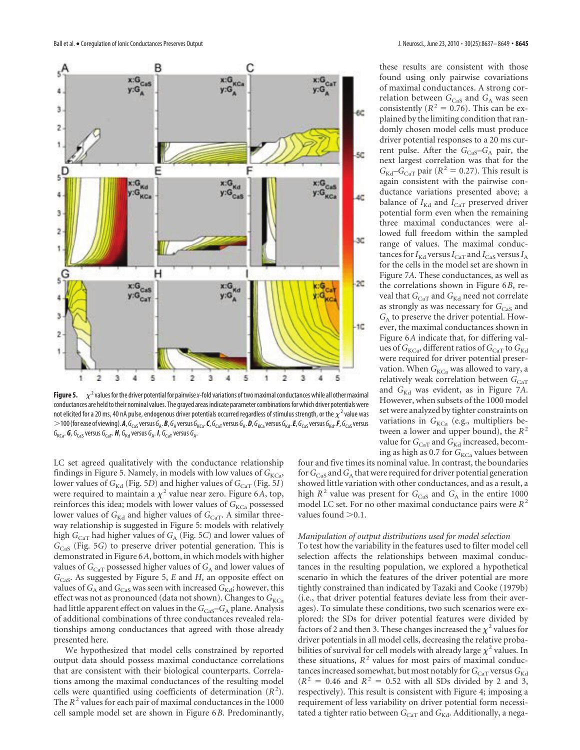

**Figure 5.**  $\chi^2$  values for the driver potential for pairwise x-fold variations of two maximal conductances while all other maximal conductances are held to their nominal values. The grayed areas indicate parameter combinations for which driver potentials were not elicited for a 20 ms, 40 nA pulse, endogenous driver potentials occurred regardless of stimulus strength, or the  $\chi^2$  value was  $>$  100 (for ease of viewing). $A$ , G<sub>CaS</sub> versus G<sub>A</sub>. *B, G<sub>A</sub> versus G<sub>KCa</sub>. C, G<sub>CaT</sub> versus G<sub>A</sub>. <i>D***, G<sub>KGa</sub> versus G<sub>Kd</sub>.**  $\bar{F}$ **, G<sub>CaS</sub> versus G<sub>Kd</sub>.**  $\bar{F}$ **, G<sub>CaS</sub> versus**  $G_{KG}$ . **G**,  $G_{Cas}$  versus  $G_{CaT}$ . **H**,  $G_{Kd}$  versus  $G_A$ . **I**,  $G_{CaT}$  versus  $G_A$ .

LC set agreed qualitatively with the conductance relationship findings in Figure 5. Namely, in models with low values of  $G_{\text{KCa}}$ , lower values of *G*<sub>Kd</sub> (Fig. 5*D*) and higher values of *G*<sub>CaT</sub> (Fig. 5*I*) were required to maintain a  $\chi^2$  value near zero. Figure 6*A*, top, reinforces this idea; models with lower values of  $G_{\text{KCa}}$  possessed lower values of *G*<sub>Kd</sub> and higher values of *G*<sub>CaT</sub>. A similar threeway relationship is suggested in Figure 5: models with relatively high  $G_{\rm{CaT}}$  had higher values of  $G_{\rm{A}}$  (Fig. 5*C*) and lower values of *G*CaS (Fig. 5*G*) to preserve driver potential generation. This is demonstrated in Figure 6*A*, bottom, in which models with higher values of  $G_{\rm CaT}$  possessed higher values of  $G_{\rm A}$  and lower values of *G*CaS. As suggested by Figure 5, *E* and *H*, an opposite effect on values of  $G_\mathrm{A}$  and  $G_\mathrm{Cas}$  was seen with increased  $G_\mathrm{Kd}$ ; however, this effect was not as pronounced (data not shown). Changes to G<sub>KCa</sub> had little apparent effect on values in the *G*<sub>CaS</sub>–*G*<sub>A</sub> plane. Analysis of additional combinations of three conductances revealed relationships among conductances that agreed with those already presented here.

We hypothesized that model cells constrained by reported output data should possess maximal conductance correlations that are consistent with their biological counterparts. Correlations among the maximal conductances of the resulting model cells were quantified using coefficients of determination  $(R<sup>2</sup>)$ . The  $R^2$  values for each pair of maximal conductances in the 1000 cell sample model set are shown in Figure 6*B*. Predominantly, these results are consistent with those found using only pairwise covariations of maximal conductances. A strong correlation between  $G_{\text{Cas}}$  and  $G_{\text{A}}$  was seen consistently ( $R^2 = 0.76$ ). This can be explained by the limiting condition that randomly chosen model cells must produce driver potential responses to a 20 ms current pulse. After the *G*<sub>CaS</sub>-*G*<sub>A</sub> pair, the next largest correlation was that for the  $G_{\text{Kd}}$ – $G_{\text{CaT}}$  pair ( $R^2 = 0.27$ ). This result is again consistent with the pairwise conductance variations presented above; a balance of  $I_{\text{Kd}}$  and  $I_{\text{CaT}}$  preserved driver potential form even when the remaining three maximal conductances were allowed full freedom within the sampled range of values. The maximal conductances for  $I_{\text{Kd}}$  versus  $I_{\text{Car}}$  and  $I_{\text{Cas}}$  versus  $I_{\text{A}}$ for the cells in the model set are shown in Figure 7*A*. These conductances, as well as the correlations shown in Figure 6*B*, reveal that  $G_{\text{CaT}}$  and  $G_{\text{Kd}}$  need not correlate as strongly as was necessary for *G*<sub>CaS</sub> and  $G_A$  to preserve the driver potential. However, the maximal conductances shown in Figure 6*A* indicate that, for differing values of  $G_{\text{KCa}}$ , different ratios of  $G_{\text{CaT}}$  to  $G_{\text{Kd}}$ were required for driver potential preservation. When *G*<sub>KCa</sub> was allowed to vary, a relatively weak correlation between  $G_{\text{CaT}}$ and *G*<sub>Kd</sub> was evident, as in Figure 7A. However, when subsets of the 1000 model set were analyzed by tighter constraints on variations in  $G_{\text{KCa}}$  (e.g., multipliers between a lower and upper bound), the *R* 2 value for  $G_{\text{CaT}}$  and  $G_{\text{Kd}}$  increased, becoming as high as 0.7 for  $G_{\text{KCa}}$  values between

four and five times its nominal value. In contrast, the boundaries for  $G_{\mathrm{Cas}}$  and  $G_{\mathrm{A}}$  that were required for driver potential generation showed little variation with other conductances, and as a result, a high  $R^2$  value was present for  $G_{\text{Cas}}$  and  $G_A$  in the entire 1000 model LC set. For no other maximal conductance pairs were *R* 2 values found  $>0.1$ .

## *Manipulation of output distributions used for model selection*

To test how the variability in the features used to filter model cell selection affects the relationships between maximal conductances in the resulting population, we explored a hypothetical scenario in which the features of the driver potential are more tightly constrained than indicated by Tazaki and Cooke (1979b) (i.e., that driver potential features deviate less from their averages). To simulate these conditions, two such scenarios were explored: the SDs for driver potential features were divided by factors of 2 and then 3. These changes increased the  $\chi^2$  values for driver potentials in all model cells, decreasing the relative probabilities of survival for cell models with already large  $\chi^2$  values. In these situations,  $R^2$  values for most pairs of maximal conductances increased somewhat, but most notably for  $G_{CAT}$  versus  $G_{Kd}$  $(R^{2} = 0.46$  and  $R^{2} = 0.52$  with all SDs divided by 2 and 3, respectively). This result is consistent with Figure 4; imposing a requirement of less variability on driver potential form necessitated a tighter ratio between  $G_{\text{CaT}}$  and  $G_{\text{Kd}}$ . Additionally, a nega-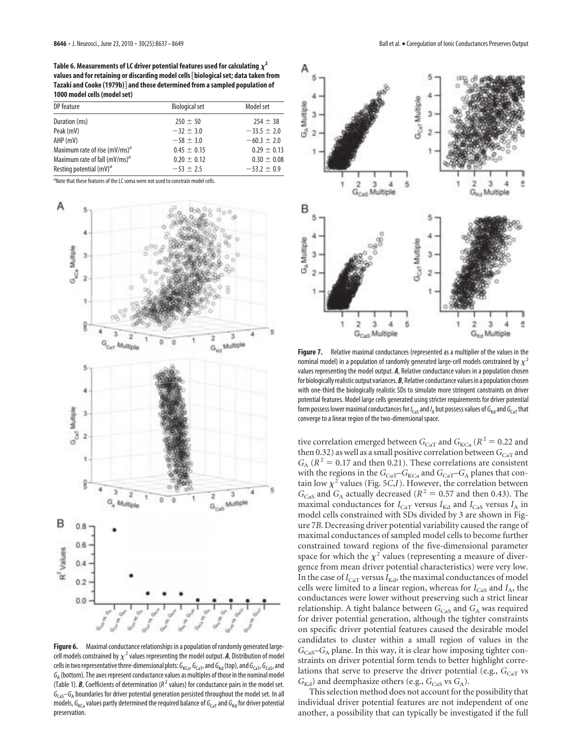Table 6. Measurements of LC driver potential features used for calculating  $\chi^2$ **values and for retaining or discarding model cells**@**biological set; data taken from** Tazaki and Cooke (1979b)<sup>|</sup> and those determined from a sampled population of **1000 model cells (model set)**

| DP feature                         | <b>Biological set</b> | Model set       |
|------------------------------------|-----------------------|-----------------|
| Duration (ms)                      | $250 \pm 50$          | $254 \pm 38$    |
| Peak (mV)                          | $-32 \pm 3.0$         | $-33.5 \pm 2.0$ |
| AHP (mV)                           | $-58 \pm 3.0$         | $-60.3 \pm 2.0$ |
| Maximum rate of rise $(mV/ms)^d$   | $0.45 \pm 0.15$       | $0.29 \pm 0.13$ |
| Maximum rate of fall $(mV/ms)^{a}$ | $0.20 \pm 0.12$       | $0.30 \pm 0.08$ |
| Resting potential $(mV)^a$         | $-53 \pm 2.5$         | $-53.2 \pm 0.9$ |

<sup>a</sup>Note that these features of the LC soma were not used to constrain model cells.



**Figure 6.** Maximal conductance relationships in a population of randomly generated largecell models constrained by  $\chi^2$  values representing the model output. A, Distribution of model cells in two representative three-dimensional plots:  $G_{KG}$ ,  $G_{CaT}$ , and  $G_{Kd}$  (top), and  $G_{CaT}$ ,  $G_{CaS}$ , and  $\mathit{G}_{\text{A}}$  (bottom). The axes represent conductance values as multiples of those in the nominal model (Table 1). **B**, Coefficients of determination ( $R^2$  values) for conductance pairs in the model set.  $\mathit{G}_{\mathsf{Cas}}\!\!-\!\mathit{G}_{\mathsf{A}}$  boundaries for driver potential generation persisted throughout the model set. In all models,  $G_{KG}$  values partly determined the required balance of  $G_{CaT}$  and  $G_{KG}$  for driver potential preservation.



**Figure 7.** Relative maximal conductances (represented as a multiplier of the values in the nominal model) in a population of randomly generated large-cell models constrained by  $\chi^2$ values representing the model output. *A*, Relative conductance values in a population chosen for biologically realistic output variances.*B*, Relative conductance values in a population chosen with one-third the biologically realistic SDs to simulate more stringent constraints on driver potential features. Model large cells generated using stricter requirements for driver potential form possess lower maximal conductances for / $_{\sf{cas}}$  and / $_{\sf A}$  but possess values of  $G_{\sf Kd}$  and  $G_{\sf{CAT}}$  that converge to a linear region of the two-dimensional space.

tive correlation emerged between  $G_{\text{CaT}}$  and  $G_{\text{KCa}}$  ( $R^2 = 0.22$  and then 0.32) as well as a small positive correlation between  $G_{CaT}$  and  $G_A$  ( $R^2 = 0.17$  and then 0.21). These correlations are consistent with the regions in the  $G_{\rm CaT}$ – $G_{\rm KCa}$  and  $G_{\rm CaT}$ – $G_{\rm A}$  planes that contain low  $\chi^2$  values (Fig. 5*C*,*I*). However, the correlation between  $G_{\text{Cas}}$  and  $G_{\text{A}}$  actually decreased ( $R^2 = 0.57$  and then 0.43). The maximal conductances for  $I_{\text{CaT}}$  versus  $I_{\text{Kd}}$  and  $I_{\text{CaS}}$  versus  $I_{\text{A}}$  in model cells constrained with SDs divided by 3 are shown in Figure 7*B*. Decreasing driver potential variability caused the range of maximal conductances of sampled model cells to become further constrained toward regions of the five-dimensional parameter space for which the  $\chi^2$  values (representing a measure of divergence from mean driver potential characteristics) were very low. In the case of  $I_{\text{CaT}}$  versus  $I_{\text{Kd}}$ , the maximal conductances of model cells were limited to a linear region, whereas for *I*<sub>CaS</sub> and *I*<sub>A</sub>, the conductances were lower without preserving such a strict linear relationship. A tight balance between  $G_{\text{Cas}}$  and  $G_{\text{A}}$  was required for driver potential generation, although the tighter constraints on specific driver potential features caused the desirable model candidates to cluster within a small region of values in the  $G<sub>Cas</sub>-G<sub>A</sub>$  plane. In this way, it is clear how imposing tighter constraints on driver potential form tends to better highlight correlations that serve to preserve the driver potential (e.g., G<sub>CaT</sub> vs  $G_{\text{Kd}}$ ) and deemphasize others (e.g.,  $G_{\text{Cas}}$  vs  $G_{\text{A}}$ ).

This selection method does not account for the possibility that individual driver potential features are not independent of one another, a possibility that can typically be investigated if the full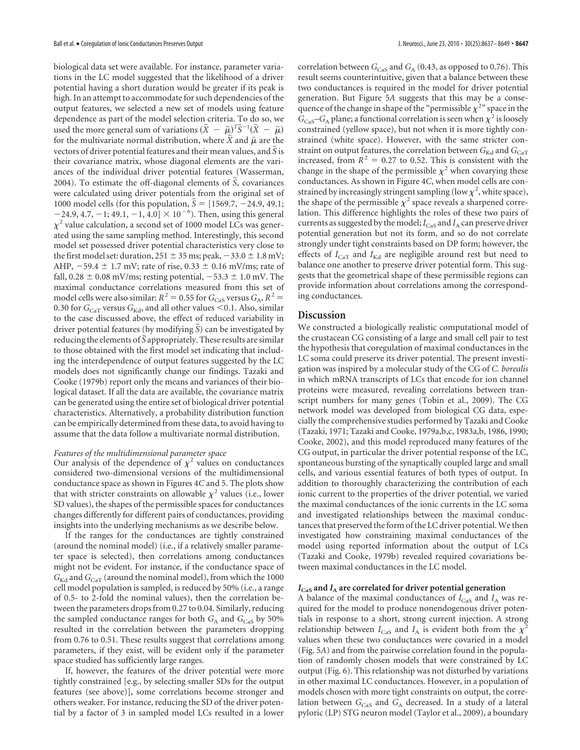biological data set were available. For instance, parameter variations in the LC model suggested that the likelihood of a driver potential having a short duration would be greater if its peak is high. In an attempt to accommodate for such dependencies of the output features, we selected a new set of models using feature dependence as part of the model selection criteria. To do so, we used the more general sum of variations  $(\bar{X} - \bar{\mu})^T \bar{S}^{-1} (\bar{X} - \bar{\mu})$ for the multivariate normal distribution, where  $\bar{X}$  and  $\bar{\mu}$  are the vectors of driver potential features and their mean values, and *S* is their covariance matrix, whose diagonal elements are the variances of the individual driver potential features (Wasserman, 2004). To estimate the off-diagonal elements of  $\bar{S}$ , covariances were calculated using driver potentials from the original set of 1000 model cells (for this population,  $\bar{S} = [1569.7, -24.9, 49.1;$  $-24.9, 4.7, -1; 49.1, -1, 4.0$   $\times$  10<sup>-6</sup>). Then, using this general  $\chi^2$  value calculation, a second set of 1000 model LCs was generated using the same sampling method. Interestingly, this second model set possessed driver potential characteristics very close to the first model set: duration,  $251 \pm 35$  ms; peak,  $-33.0 \pm 1.8$  mV; AHP,  $-59.4 \pm 1.7$  mV; rate of rise, 0.33  $\pm$  0.16 mV/ms; rate of fall,  $0.28 \pm 0.08$  mV/ms; resting potential,  $-53.3 \pm 1.0$  mV. The maximal conductance correlations measured from this set of model cells were also similar:  $R^2 = 0.55$  for  $G_{\text{Cas}}$  versus  $G_A$ ,  $R^2 =$ 0.30 for  $G_{\text{CaT}}$  versus  $G_{\text{Kd}}$ , and all other values <0.1. Also, similar to the case discussed above, the effect of reduced variability in driver potential features (by modifying *S*) can be investigated by reducing the elements of  $\overline{S}$  appropriately. These results are similar to those obtained with the first model set indicating that including the interdependence of output features suggested by the LC models does not significantly change our findings. Tazaki and Cooke (1979b) report only the means and variances of their biological dataset. If all the data are available, the covariance matrix can be generated using the entire set of biological driver potential characteristics. Alternatively, a probability distribution function can be empirically determined from these data, to avoid having to assume that the data follow a multivariate normal distribution.

# *Features of the multidimensional parameter space*

Our analysis of the dependence of  $\chi^2$  values on conductances considered two-dimensional versions of the multidimensional conductance space as shown in Figures 4*C* and 5. The plots show that with stricter constraints on allowable  $\chi^2$  values (i.e., lower SD values), the shapes of the permissible spaces for conductances changes differently for different pairs of conductances, providing insights into the underlying mechanisms as we describe below.

If the ranges for the conductances are tightly constrained (around the nominal model) (i.e., if a relatively smaller parameter space is selected), then correlations among conductances might not be evident. For instance, if the conductance space of  $G_{\text{Kd}}$  and  $G_{\text{CaT}}$  (around the nominal model), from which the 1000 cell model population is sampled, is reduced by 50% (i.e., a range of 0.5- to 2-fold the nominal values), then the correlation between the parameters drops from 0.27 to 0.04. Similarly, reducing the sampled conductance ranges for both  $G_A$  and  $G_{\text{Cas}}$  by 50% resulted in the correlation between the parameters dropping from 0.76 to 0.51. These results suggest that correlations among parameters, if they exist, will be evident only if the parameter space studied has sufficiently large ranges.

If, however, the features of the driver potential were more tightly constrained [e.g., by selecting smaller SDs for the output features (see above)], some correlations become stronger and others weaker. For instance, reducing the SD of the driver potential by a factor of 3 in sampled model LCs resulted in a lower

correlation between  $G_{\text{Cas}}$  and  $G_{\text{A}}$  (0.43, as opposed to 0.76). This result seems counterintuitive, given that a balance between these two conductances is required in the model for driver potential generation. But Figure 5*A* suggests that this may be a consequence of the change in shape of the "permissible  $\chi^{2}$ " space in the  $\tilde{G}_{\text{Cas}}$ – $G_{\text{A}}$  plane; a functional correlation is seen when  $\chi^2$  is loosely constrained (yellow space), but not when it is more tightly constrained (white space). However, with the same stricter constraint on output features, the correlation between  $G_{\text{Kd}}$  and  $G_{\text{CaT}}$ increased, from  $R^2 = 0.27$  to 0.52. This is consistent with the change in the shape of the permissible  $\chi^2$  when covarying these conductances. As shown in Figure 4*C*, when model cells are constrained by increasingly stringent sampling (low  $\chi^2$ , white space), the shape of the permissible  $\chi^2$  space reveals a sharpened correlation. This difference highlights the roles of these two pairs of currents as suggested by the model;  $I_{\text{Cas}}$  and  $I_{\text{A}}$  can preserve driver potential generation but not its form, and so do not correlate strongly under tight constraints based on DP form; however, the effects of  $I_{\text{CaT}}$  and  $I_{\text{Kd}}$  are negligible around rest but need to balance one another to preserve driver potential form. This suggests that the geometrical shape of these permissible regions can provide information about correlations among the corresponding conductances.

## **Discussion**

We constructed a biologically realistic computational model of the crustacean CG consisting of a large and small cell pair to test the hypothesis that coregulation of maximal conductances in the LC soma could preserve its driver potential. The present investigation was inspired by a molecular study of the CG of *C. borealis* in which mRNA transcripts of LCs that encode for ion channel proteins were measured, revealing correlations between transcript numbers for many genes (Tobin et al., 2009). The CG network model was developed from biological CG data, especially the comprehensive studies performed by Tazaki and Cooke (Tazaki, 1971; Tazaki and Cooke, 1979a,b,c, 1983a,b, 1986, 1990; Cooke, 2002), and this model reproduced many features of the CG output, in particular the driver potential response of the LC, spontaneous bursting of the synaptically coupled large and small cells, and various essential features of both types of output. In addition to thoroughly characterizing the contribution of each ionic current to the properties of the driver potential, we varied the maximal conductances of the ionic currents in the LC soma and investigated relationships between the maximal conductances that preserved the form of the LC driver potential. We then investigated how constraining maximal conductances of the model using reported information about the output of LCs (Tazaki and Cooke, 1979b) revealed required covariations between maximal conductances in the LC model.

# *I***CaS and** *I***<sup>A</sup> are correlated for driver potential generation**

A balance of the maximal conductances of  $I_{\text{Cas}}$  and  $I_A$  was required for the model to produce nonendogenous driver potentials in response to a short, strong current injection. A strong relationship between  $I_{\text{Cas}}$  and  $I_A$  is evident both from the  $\chi^2$ values when these two conductances were covaried in a model (Fig. 5*A*) and from the pairwise correlation found in the population of randomly chosen models that were constrained by LC output (Fig. 6). This relationship was not disturbed by variations in other maximal LC conductances. However, in a population of models chosen with more tight constraints on output, the correlation between G<sub>CaS</sub> and G<sub>A</sub> decreased. In a study of a lateral pyloric (LP) STG neuron model (Taylor et al., 2009), a boundary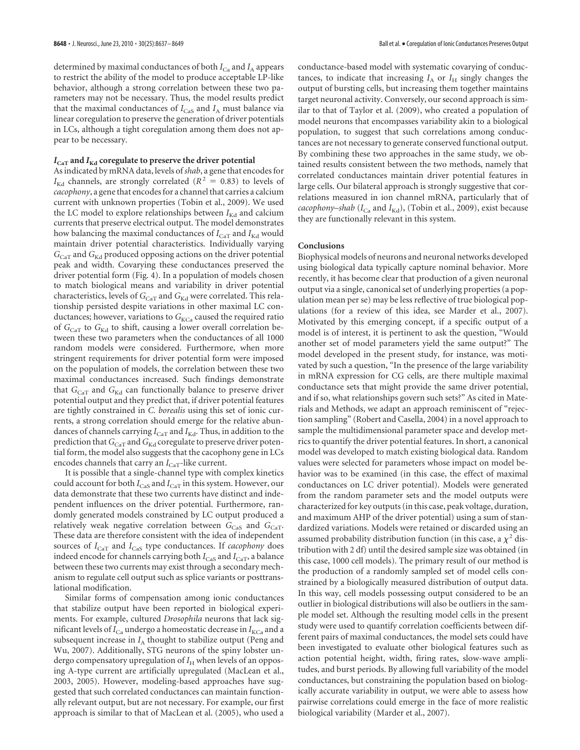determined by maximal conductances of both  $I_{\rm Ca}$  and  $I_{\rm A}$  appears to restrict the ability of the model to produce acceptable LP-like behavior, although a strong correlation between these two parameters may not be necessary. Thus, the model results predict that the maximal conductances of  $I_{\text{Cas}}$  and  $I_A$  must balance via linear coregulation to preserve the generation of driver potentials in LCs, although a tight coregulation among them does not appear to be necessary.

# $I_{\text{CaT}}$  and  $I_{\text{Kd}}$  coregulate to preserve the driver potential

As indicated by mRNA data, levels of *shab*, a gene that encodes for  $I_{\text{Kd}}$  channels, are strongly correlated ( $R^2 = 0.83$ ) to levels of *cacophony*, a gene that encodes for a channel that carries a calcium current with unknown properties (Tobin et al., 2009). We used the LC model to explore relationships between  $I_{\text{Kd}}$  and calcium currents that preserve electrical output. The model demonstrates how balancing the maximal conductances of  $I_{\text{CaT}}$  and  $I_{\text{Kd}}$  would maintain driver potential characteristics. Individually varying *G*<sub>CaT</sub> and *G*<sub>Kd</sub> produced opposing actions on the driver potential peak and width. Covarying these conductances preserved the driver potential form (Fig. 4). In a population of models chosen to match biological means and variability in driver potential characteristics, levels of  $G_{\text{CaT}}$  and  $G_{\text{Kd}}$  were correlated. This relationship persisted despite variations in other maximal LC conductances; however, variations to G<sub>KCa</sub> caused the required ratio of  $G_{CAT}$  to  $G_{Kd}$  to shift, causing a lower overall correlation between these two parameters when the conductances of all 1000 random models were considered. Furthermore, when more stringent requirements for driver potential form were imposed on the population of models, the correlation between these two maximal conductances increased. Such findings demonstrate that  $G_{CAT}$  and  $G_{Kd}$  can functionally balance to preserve driver potential output and they predict that, if driver potential features are tightly constrained in *C. borealis* using this set of ionic currents, a strong correlation should emerge for the relative abundances of channels carrying  $I_{\text{CaT}}$  and  $I_{\text{Kd}}$ . Thus, in addition to the prediction that  $G_{\text{CaT}}$  and  $G_{\text{Kd}}$  coregulate to preserve driver potential form, the model also suggests that the cacophony gene in LCs encodes channels that carry an  $I_{\text{CaT}}$ -like current.

It is possible that a single-channel type with complex kinetics could account for both *I*<sub>CaS</sub> and *I*<sub>CaT</sub> in this system. However, our data demonstrate that these two currents have distinct and independent influences on the driver potential. Furthermore, randomly generated models constrained by LC output produced a relatively weak negative correlation between *G*<sub>CaS</sub> and *G*<sub>CaT</sub>. These data are therefore consistent with the idea of independent sources of *I*<sub>CaT</sub> and *I*<sub>CaS</sub> type conductances. If *cacophony* does indeed encode for channels carrying both  $I_{\text{CaS}}$  and  $I_{\text{CaT}}$ , a balance between these two currents may exist through a secondary mechanism to regulate cell output such as splice variants or posttranslational modification.

Similar forms of compensation among ionic conductances that stabilize output have been reported in biological experiments. For example, cultured *Drosophila* neurons that lack significant levels of  $I_{\text{Ca}}$  undergo a homeostatic decrease in  $I_{\text{KCa}}$  and a subsequent increase in  $I_A$  thought to stabilize output (Peng and Wu, 2007). Additionally, STG neurons of the spiny lobster undergo compensatory upregulation of  $I_H$  when levels of an opposing A-type current are artificially upregulated (MacLean et al., 2003, 2005). However, modeling-based approaches have suggested that such correlated conductances can maintain functionally relevant output, but are not necessary. For example, our first approach is similar to that of MacLean et al. (2005), who used a conductance-based model with systematic covarying of conductances, to indicate that increasing  $I_A$  or  $I_H$  singly changes the output of bursting cells, but increasing them together maintains target neuronal activity. Conversely, our second approach is similar to that of Taylor et al. (2009), who created a population of model neurons that encompasses variability akin to a biological population, to suggest that such correlations among conductances are not necessary to generate conserved functional output. By combining these two approaches in the same study, we obtained results consistent between the two methods, namely that correlated conductances maintain driver potential features in large cells. Our bilateral approach is strongly suggestive that correlations measured in ion channel mRNA, particularly that of *cacophony–shab* ( $I_{Ca}$  and  $I_{Kd}$ ), (Tobin et al., 2009), exist because they are functionally relevant in this system.

### **Conclusions**

Biophysical models of neurons and neuronal networks developed using biological data typically capture nominal behavior. More recently, it has become clear that production of a given neuronal output via a single, canonical set of underlying properties (a population mean per se) may be less reflective of true biological populations (for a review of this idea, see Marder et al., 2007). Motivated by this emerging concept, if a specific output of a model is of interest, it is pertinent to ask the question, "Would another set of model parameters yield the same output?" The model developed in the present study, for instance, was motivated by such a question, "In the presence of the large variability in mRNA expression for CG cells, are there multiple maximal conductance sets that might provide the same driver potential, and if so, what relationships govern such sets?" As cited in Materials and Methods, we adapt an approach reminiscent of "rejection sampling" (Robert and Casella, 2004) in a novel approach to sample the multidimensional parameter space and develop metrics to quantify the driver potential features. In short, a canonical model was developed to match existing biological data. Random values were selected for parameters whose impact on model behavior was to be examined (in this case, the effect of maximal conductances on LC driver potential). Models were generated from the random parameter sets and the model outputs were characterized for key outputs (in this case, peak voltage, duration, and maximum AHP of the driver potential) using a sum of standardized variations. Models were retained or discarded using an assumed probability distribution function (in this case, a  $\chi^2$  distribution with 2 df) until the desired sample size was obtained (in this case, 1000 cell models). The primary result of our method is the production of a randomly sampled set of model cells constrained by a biologically measured distribution of output data. In this way, cell models possessing output considered to be an outlier in biological distributions will also be outliers in the sample model set. Although the resulting model cells in the present study were used to quantify correlation coefficients between different pairs of maximal conductances, the model sets could have been investigated to evaluate other biological features such as action potential height, width, firing rates, slow-wave amplitudes, and burst periods. By allowing full variability of the model conductances, but constraining the population based on biologically accurate variability in output, we were able to assess how pairwise correlations could emerge in the face of more realistic biological variability (Marder et al., 2007).